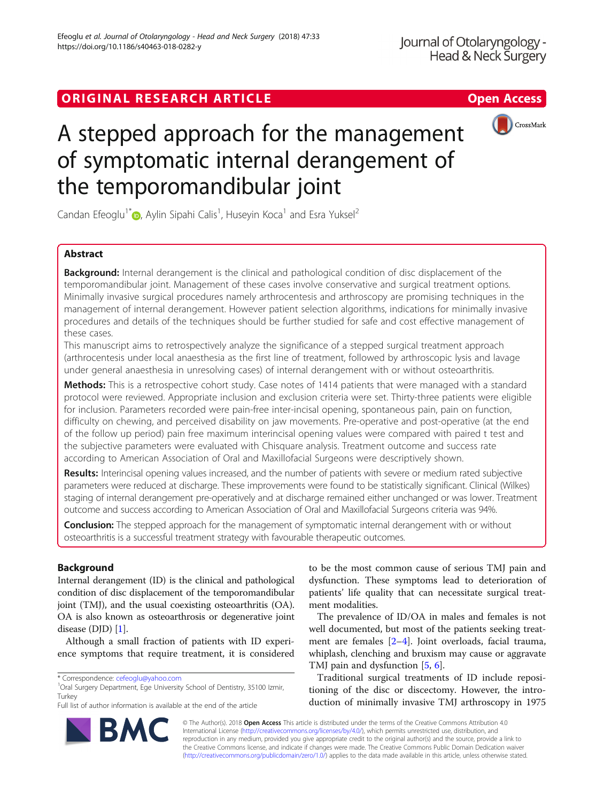# ORIGINAL RESEARCH ARTICLE **External of the Contract Contract Contract Contract Contract Contract Contract Contract Contract Contract Contract Contract Contract Contract Contract Contract Contract Contract Contract Contract**



# A stepped approach for the management of symptomatic internal derangement of the temporomandibular joint

Candan Efeoglu<sup>1\*</sup> D[,](http://orcid.org/0000-0003-4612-3789) Aylin Sipahi Calis<sup>1</sup>, Huseyin Koca<sup>1</sup> and Esra Yuksel<sup>2</sup>

# Abstract

**Background:** Internal derangement is the clinical and pathological condition of disc displacement of the temporomandibular joint. Management of these cases involve conservative and surgical treatment options. Minimally invasive surgical procedures namely arthrocentesis and arthroscopy are promising techniques in the management of internal derangement. However patient selection algorithms, indications for minimally invasive procedures and details of the techniques should be further studied for safe and cost effective management of these cases.

This manuscript aims to retrospectively analyze the significance of a stepped surgical treatment approach (arthrocentesis under local anaesthesia as the first line of treatment, followed by arthroscopic lysis and lavage under general anaesthesia in unresolving cases) of internal derangement with or without osteoarthritis.

Methods: This is a retrospective cohort study. Case notes of 1414 patients that were managed with a standard protocol were reviewed. Appropriate inclusion and exclusion criteria were set. Thirty-three patients were eligible for inclusion. Parameters recorded were pain-free inter-incisal opening, spontaneous pain, pain on function, difficulty on chewing, and perceived disability on jaw movements. Pre-operative and post-operative (at the end of the follow up period) pain free maximum interincisal opening values were compared with paired t test and the subjective parameters were evaluated with Chisquare analysis. Treatment outcome and success rate according to American Association of Oral and Maxillofacial Surgeons were descriptively shown.

Results: Interincisal opening values increased, and the number of patients with severe or medium rated subjective parameters were reduced at discharge. These improvements were found to be statistically significant. Clinical (Wilkes) staging of internal derangement pre-operatively and at discharge remained either unchanged or was lower. Treatment outcome and success according to American Association of Oral and Maxillofacial Surgeons criteria was 94%.

**Conclusion:** The stepped approach for the management of symptomatic internal derangement with or without osteoarthritis is a successful treatment strategy with favourable therapeutic outcomes.

# Background

Internal derangement (ID) is the clinical and pathological condition of disc displacement of the temporomandibular joint (TMJ), and the usual coexisting osteoarthritis (OA). OA is also known as osteoarthrosis or degenerative joint disease (DJD) [\[1](#page-5-0)].

Although a small fraction of patients with ID experience symptoms that require treatment, it is considered

to be the most common cause of serious TMJ pain and dysfunction. These symptoms lead to deterioration of patients' life quality that can necessitate surgical treatment modalities.

The prevalence of ID/OA in males and females is not well documented, but most of the patients seeking treatment are females [[2](#page-5-0)–[4\]](#page-5-0). Joint overloads, facial trauma, whiplash, clenching and bruxism may cause or aggravate TMJ pain and dysfunction [[5](#page-5-0), [6](#page-5-0)].

Traditional surgical treatments of ID include repositioning of the disc or discectomy. However, the introduction of minimally invasive TMJ arthroscopy in 1975

© The Author(s). 2018 Open Access This article is distributed under the terms of the Creative Commons Attribution 4.0 International License [\(http://creativecommons.org/licenses/by/4.0/](http://creativecommons.org/licenses/by/4.0/)), which permits unrestricted use, distribution, and reproduction in any medium, provided you give appropriate credit to the original author(s) and the source, provide a link to the Creative Commons license, and indicate if changes were made. The Creative Commons Public Domain Dedication waiver [\(http://creativecommons.org/publicdomain/zero/1.0/](http://creativecommons.org/publicdomain/zero/1.0/)) applies to the data made available in this article, unless otherwise stated.



<sup>\*</sup> Correspondence: [cefeoglu@yahoo.com](mailto:cefeoglu@yahoo.com) <sup>1</sup>

<sup>&</sup>lt;sup>1</sup>Oral Surgery Department, Ege University School of Dentistry, 35100 Izmir, **Turkey** 

Full list of author information is available at the end of the article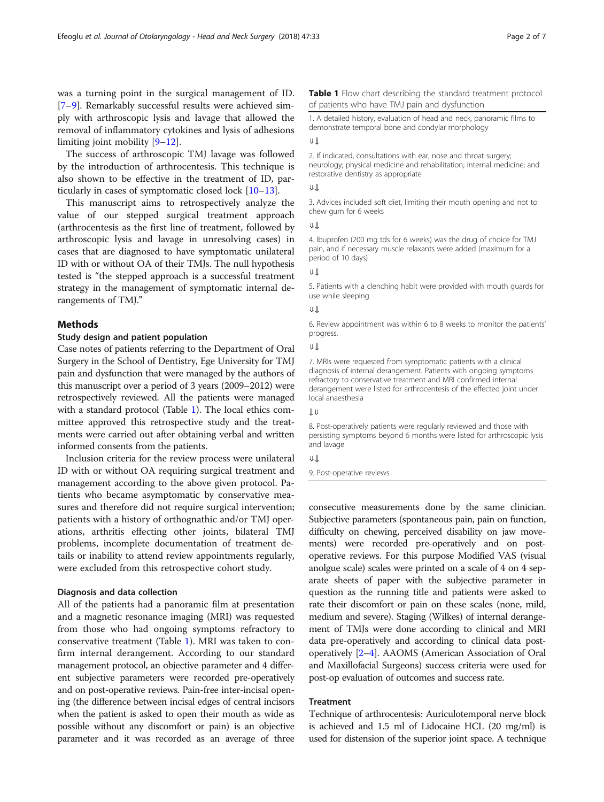<span id="page-1-0"></span>was a turning point in the surgical management of ID. [[7](#page-5-0)–[9\]](#page-5-0). Remarkably successful results were achieved simply with arthroscopic lysis and lavage that allowed the removal of inflammatory cytokines and lysis of adhesions limiting joint mobility [[9](#page-5-0)–[12](#page-5-0)].

The success of arthroscopic TMJ lavage was followed by the introduction of arthrocentesis. This technique is also shown to be effective in the treatment of ID, particularly in cases of symptomatic closed lock [\[10](#page-5-0)–[13\]](#page-6-0).

This manuscript aims to retrospectively analyze the value of our stepped surgical treatment approach (arthrocentesis as the first line of treatment, followed by arthroscopic lysis and lavage in unresolving cases) in cases that are diagnosed to have symptomatic unilateral ID with or without OA of their TMJs. The null hypothesis tested is "the stepped approach is a successful treatment strategy in the management of symptomatic internal derangements of TMJ."

# **Methods**

# Study design and patient population

Case notes of patients referring to the Department of Oral Surgery in the School of Dentistry, Ege University for TMJ pain and dysfunction that were managed by the authors of this manuscript over a period of 3 years (2009–2012) were retrospectively reviewed. All the patients were managed with a standard protocol (Table 1). The local ethics committee approved this retrospective study and the treatments were carried out after obtaining verbal and written informed consents from the patients.

Inclusion criteria for the review process were unilateral ID with or without OA requiring surgical treatment and management according to the above given protocol. Patients who became asymptomatic by conservative measures and therefore did not require surgical intervention; patients with a history of orthognathic and/or TMJ operations, arthritis effecting other joints, bilateral TMJ problems, incomplete documentation of treatment details or inability to attend review appointments regularly, were excluded from this retrospective cohort study.

## Diagnosis and data collection

All of the patients had a panoramic film at presentation and a magnetic resonance imaging (MRI) was requested from those who had ongoing symptoms refractory to conservative treatment (Table 1). MRI was taken to confirm internal derangement. According to our standard management protocol, an objective parameter and 4 different subjective parameters were recorded pre-operatively and on post-operative reviews. Pain-free inter-incisal opening (the difference between incisal edges of central incisors when the patient is asked to open their mouth as wide as possible without any discomfort or pain) is an objective parameter and it was recorded as an average of three

## Table 1 Flow chart describing the standard treatment protocol of patients who have TMJ pain and dysfunction

1. A detailed history, evaluation of head and neck, panoramic films to demonstrate temporal bone and condylar morphology

# ⇓⥥

2. If indicated, consultations with ear, nose and throat surgery; neurology; physical medicine and rehabilitation; internal medicine; and restorative dentistry as appropriate

#### ⇓⥥

3. Advices included soft diet, limiting their mouth opening and not to chew gum for 6 weeks

⇓⥥

4. Ibuprofen (200 mg tds for 6 weeks) was the drug of choice for TMJ pain, and if necessary muscle relaxants were added (maximum for a period of 10 days)

⇓⥥

5. Patients with a clenching habit were provided with mouth guards for use while sleeping

#### ⇓⥥

6. Review appointment was within 6 to 8 weeks to monitor the patients' progress.

#### ⇓⥥

7. MRIs were requested from symptomatic patients with a clinical diagnosis of internal derangement. Patients with ongoing symptoms refractory to conservative treatment and MRI confirmed internal derangement were listed for arthrocentesis of the effected joint under local anaesthesia

# ⥥⇓

8. Post-operatively patients were regularly reviewed and those with persisting symptoms beyond 6 months were listed for arthroscopic lysis and lavage

#### ⇓⥥

9. Post-operative reviews

consecutive measurements done by the same clinician. Subjective parameters (spontaneous pain, pain on function, difficulty on chewing, perceived disability on jaw movements) were recorded pre-operatively and on postoperative reviews. For this purpose Modified VAS (visual anolgue scale) scales were printed on a scale of 4 on 4 separate sheets of paper with the subjective parameter in question as the running title and patients were asked to rate their discomfort or pain on these scales (none, mild, medium and severe). Staging (Wilkes) of internal derangement of TMJs were done according to clinical and MRI data pre-operatively and according to clinical data postoperatively [[2](#page-5-0)–[4](#page-5-0)]. AAOMS (American Association of Oral and Maxillofacial Surgeons) success criteria were used for post-op evaluation of outcomes and success rate.

# Treatment

Technique of arthrocentesis: Auriculotemporal nerve block is achieved and 1.5 ml of Lidocaine HCL (20 mg/ml) is used for distension of the superior joint space. A technique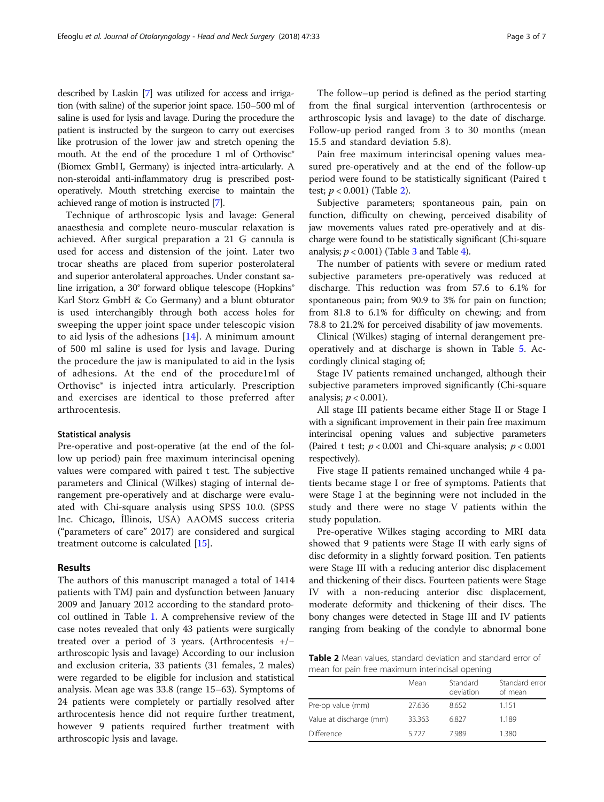described by Laskin [\[7\]](#page-5-0) was utilized for access and irrigation (with saline) of the superior joint space. 150–500 ml of saline is used for lysis and lavage. During the procedure the patient is instructed by the surgeon to carry out exercises like protrusion of the lower jaw and stretch opening the mouth. At the end of the procedure 1 ml of Orthovisc<sup>®</sup> (Biomex GmbH, Germany) is injected intra-articularly. A non-steroidal anti-inflammatory drug is prescribed postoperatively. Mouth stretching exercise to maintain the achieved range of motion is instructed [\[7\]](#page-5-0).

Technique of arthroscopic lysis and lavage: General anaesthesia and complete neuro-muscular relaxation is achieved. After surgical preparation a 21 G cannula is used for access and distension of the joint. Later two trocar sheaths are placed from superior posterolateral and superior anterolateral approaches. Under constant saline irrigation, a 30° forward oblique telescope (Hopkins® Karl Storz GmbH & Co Germany) and a blunt obturator is used interchangibly through both access holes for sweeping the upper joint space under telescopic vision to aid lysis of the adhesions [[14](#page-6-0)]. A minimum amount of 500 ml saline is used for lysis and lavage. During the procedure the jaw is manipulated to aid in the lysis of adhesions. At the end of the procedure1ml of Orthovisc® is injected intra articularly. Prescription and exercises are identical to those preferred after arthrocentesis.

# Statistical analysis

Pre-operative and post-operative (at the end of the follow up period) pain free maximum interincisal opening values were compared with paired t test. The subjective parameters and Clinical (Wilkes) staging of internal derangement pre-operatively and at discharge were evaluated with Chi-square analysis using SPSS 10.0. (SPSS Inc. Chicago, İllinois, USA) AAOMS success criteria ("parameters of care" 2017) are considered and surgical treatment outcome is calculated [\[15](#page-6-0)].

# Results

The authors of this manuscript managed a total of 1414 patients with TMJ pain and dysfunction between January 2009 and January 2012 according to the standard protocol outlined in Table [1](#page-1-0). A comprehensive review of the case notes revealed that only 43 patients were surgically treated over a period of 3 years. (Arthrocentesis +/− arthroscopic lysis and lavage) According to our inclusion and exclusion criteria, 33 patients (31 females, 2 males) were regarded to be eligible for inclusion and statistical analysis. Mean age was 33.8 (range 15–63). Symptoms of 24 patients were completely or partially resolved after arthrocentesis hence did not require further treatment, however 9 patients required further treatment with arthroscopic lysis and lavage.

The follow–up period is defined as the period starting from the final surgical intervention (arthrocentesis or arthroscopic lysis and lavage) to the date of discharge. Follow-up period ranged from 3 to 30 months (mean 15.5 and standard deviation 5.8).

Pain free maximum interincisal opening values measured pre-operatively and at the end of the follow-up period were found to be statistically significant (Paired t test;  $p < 0.001$ ) (Table 2).

Subjective parameters; spontaneous pain, pain on function, difficulty on chewing, perceived disability of jaw movements values rated pre-operatively and at discharge were found to be statistically significant (Chi-square analysis;  $p < 0.001$ ) (Table [3](#page-3-0) and Table [4](#page-3-0)).

The number of patients with severe or medium rated subjective parameters pre-operatively was reduced at discharge. This reduction was from 57.6 to 6.1% for spontaneous pain; from 90.9 to 3% for pain on function; from 81.8 to 6.1% for difficulty on chewing; and from 78.8 to 21.2% for perceived disability of jaw movements.

Clinical (Wilkes) staging of internal derangement preoperatively and at discharge is shown in Table [5.](#page-3-0) Accordingly clinical staging of;

Stage IV patients remained unchanged, although their subjective parameters improved significantly (Chi-square analysis;  $p < 0.001$ ).

All stage III patients became either Stage II or Stage I with a significant improvement in their pain free maximum interincisal opening values and subjective parameters (Paired t test;  $p < 0.001$  and Chi-square analysis;  $p < 0.001$ respectively).

Five stage II patients remained unchanged while 4 patients became stage I or free of symptoms. Patients that were Stage I at the beginning were not included in the study and there were no stage V patients within the study population.

Pre-operative Wilkes staging according to MRI data showed that 9 patients were Stage II with early signs of disc deformity in a slightly forward position. Ten patients were Stage III with a reducing anterior disc displacement and thickening of their discs. Fourteen patients were Stage IV with a non-reducing anterior disc displacement, moderate deformity and thickening of their discs. The bony changes were detected in Stage III and IV patients ranging from beaking of the condyle to abnormal bone

Table 2 Mean values, standard deviation and standard error of mean for pain free maximum interincisal opening

|                         | Mean   | Standard<br>deviation | Standard error<br>of mean |
|-------------------------|--------|-----------------------|---------------------------|
| Pre-op value (mm)       | 27.636 | 8.652                 | 1.151                     |
| Value at discharge (mm) | 33.363 | 6.827                 | 1.189                     |
| <b>Difference</b>       | 5727   | 7989                  | 1.380                     |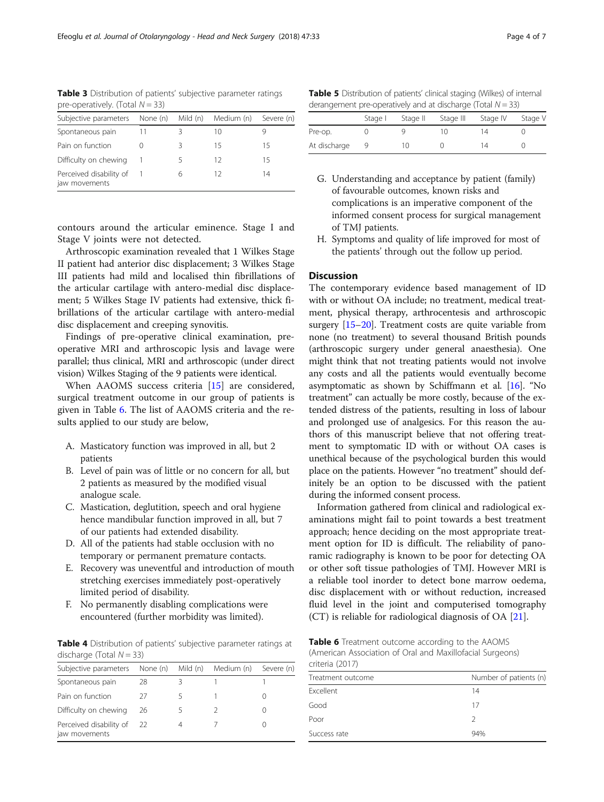<span id="page-3-0"></span>Table 3 Distribution of patients' subjective parameter ratings pre-operatively. (Total  $N = 33$ )

| Subjective parameters None (n) Mild (n)  |   | Medium (n) | Severe (n) |
|------------------------------------------|---|------------|------------|
| Spontaneous pain                         |   | 10         |            |
| Pain on function                         |   | 15         | 15         |
| Difficulty on chewing                    | ╮ | 12         | 15         |
| Perceived disability of<br>jaw movements | h | 12         | 14         |

contours around the articular eminence. Stage I and Stage V joints were not detected.

Arthroscopic examination revealed that 1 Wilkes Stage II patient had anterior disc displacement; 3 Wilkes Stage III patients had mild and localised thin fibrillations of the articular cartilage with antero-medial disc displacement; 5 Wilkes Stage IV patients had extensive, thick fibrillations of the articular cartilage with antero-medial disc displacement and creeping synovitis.

Findings of pre-operative clinical examination, preoperative MRI and arthroscopic lysis and lavage were parallel; thus clinical, MRI and arthroscopic (under direct vision) Wilkes Staging of the 9 patients were identical.

When AAOMS success criteria [\[15](#page-6-0)] are considered, surgical treatment outcome in our group of patients is given in Table 6. The list of AAOMS criteria and the results applied to our study are below,

- A. Masticatory function was improved in all, but 2 patients
- B. Level of pain was of little or no concern for all, but 2 patients as measured by the modified visual analogue scale.
- C. Mastication, deglutition, speech and oral hygiene hence mandibular function improved in all, but 7 of our patients had extended disability.
- D. All of the patients had stable occlusion with no temporary or permanent premature contacts.
- E. Recovery was uneventful and introduction of mouth stretching exercises immediately post-operatively limited period of disability.
- F. No permanently disabling complications were encountered (further morbidity was limited).

Table 4 Distribution of patients' subjective parameter ratings at discharge (Total  $N = 33$ )

| Subjective parameters                    | None (n) | Mild (n) | Medium (n) | Severe (n) |
|------------------------------------------|----------|----------|------------|------------|
| Spontaneous pain                         | 28       |          |            |            |
| Pain on function                         | 27       |          |            |            |
| Difficulty on chewing                    | 26       |          |            |            |
| Perceived disability of<br>jaw movements | -22      | 4        |            |            |

Table 5 Distribution of patients' clinical staging (Wilkes) of internal derangement pre-operatively and at discharge (Total  $N = 33$ )

|              | Stage I | Stage II | Stage III | Stage IV | Stage V |
|--------------|---------|----------|-----------|----------|---------|
| Pre-op.      |         |          |           | 14       |         |
| At discharge |         | 10       |           | 14       |         |

- G. Understanding and acceptance by patient (family) of favourable outcomes, known risks and complications is an imperative component of the informed consent process for surgical management of TMJ patients.
- H. Symptoms and quality of life improved for most of the patients' through out the follow up period.

# **Discussion**

The contemporary evidence based management of ID with or without OA include; no treatment, medical treatment, physical therapy, arthrocentesis and arthroscopic surgery [[15](#page-6-0)–[20\]](#page-6-0). Treatment costs are quite variable from none (no treatment) to several thousand British pounds (arthroscopic surgery under general anaesthesia). One might think that not treating patients would not involve any costs and all the patients would eventually become asymptomatic as shown by Schiffmann et al. [\[16\]](#page-6-0). "No treatment" can actually be more costly, because of the extended distress of the patients, resulting in loss of labour and prolonged use of analgesics. For this reason the authors of this manuscript believe that not offering treatment to symptomatic ID with or without OA cases is unethical because of the psychological burden this would place on the patients. However "no treatment" should definitely be an option to be discussed with the patient during the informed consent process.

Information gathered from clinical and radiological examinations might fail to point towards a best treatment approach; hence deciding on the most appropriate treatment option for ID is difficult. The reliability of panoramic radiography is known to be poor for detecting OA or other soft tissue pathologies of TMJ. However MRI is a reliable tool inorder to detect bone marrow oedema, disc displacement with or without reduction, increased fluid level in the joint and computerised tomography (CT) is reliable for radiological diagnosis of OA [\[21](#page-6-0)].

Table 6 Treatment outcome according to the AAOMS (American Association of Oral and Maxillofacial Surgeons) criteria (2017)

| $C11C11U \L12U111$ |                        |  |  |
|--------------------|------------------------|--|--|
| Treatment outcome  | Number of patients (n) |  |  |
| Excellent          | 14                     |  |  |
| Good               | 17                     |  |  |
| Poor               | 2                      |  |  |
| Success rate       | 94%                    |  |  |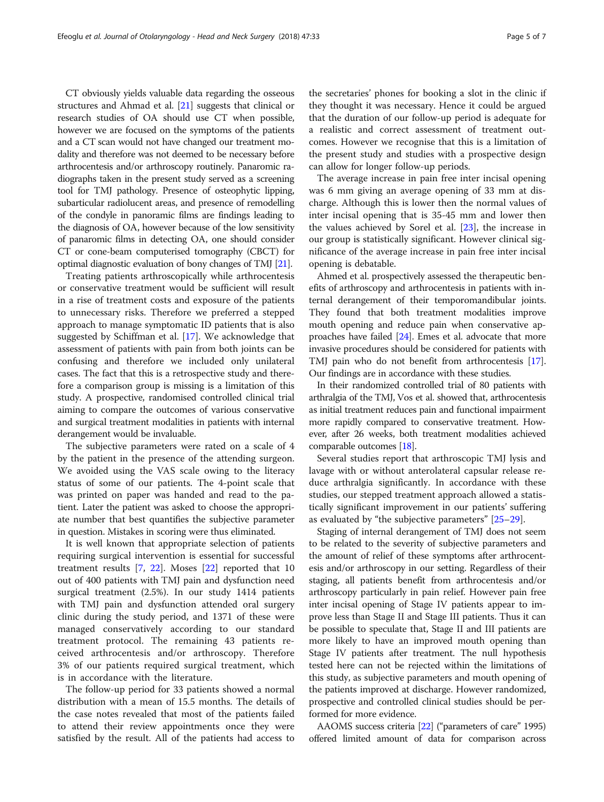CT obviously yields valuable data regarding the osseous structures and Ahmad et al. [\[21\]](#page-6-0) suggests that clinical or research studies of OA should use CT when possible, however we are focused on the symptoms of the patients and a CT scan would not have changed our treatment modality and therefore was not deemed to be necessary before arthrocentesis and/or arthroscopy routinely. Panaromic radiographs taken in the present study served as a screening tool for TMJ pathology. Presence of osteophytic lipping, subarticular radiolucent areas, and presence of remodelling of the condyle in panoramic films are findings leading to the diagnosis of OA, however because of the low sensitivity of panaromic films in detecting OA, one should consider CT or cone-beam computerised tomography (CBCT) for optimal diagnostic evaluation of bony changes of TMJ [\[21](#page-6-0)].

Treating patients arthroscopically while arthrocentesis or conservative treatment would be sufficient will result in a rise of treatment costs and exposure of the patients to unnecessary risks. Therefore we preferred a stepped approach to manage symptomatic ID patients that is also suggested by Schiffman et al. [[17\]](#page-6-0). We acknowledge that assessment of patients with pain from both joints can be confusing and therefore we included only unilateral cases. The fact that this is a retrospective study and therefore a comparison group is missing is a limitation of this study. A prospective, randomised controlled clinical trial aiming to compare the outcomes of various conservative and surgical treatment modalities in patients with internal derangement would be invaluable.

The subjective parameters were rated on a scale of 4 by the patient in the presence of the attending surgeon. We avoided using the VAS scale owing to the literacy status of some of our patients. The 4-point scale that was printed on paper was handed and read to the patient. Later the patient was asked to choose the appropriate number that best quantifies the subjective parameter in question. Mistakes in scoring were thus eliminated.

It is well known that appropriate selection of patients requiring surgical intervention is essential for successful treatment results  $[7, 22]$  $[7, 22]$  $[7, 22]$  $[7, 22]$ . Moses  $[22]$  $[22]$  reported that 10 out of 400 patients with TMJ pain and dysfunction need surgical treatment (2.5%). In our study 1414 patients with TMJ pain and dysfunction attended oral surgery clinic during the study period, and 1371 of these were managed conservatively according to our standard treatment protocol. The remaining 43 patients received arthrocentesis and/or arthroscopy. Therefore 3% of our patients required surgical treatment, which is in accordance with the literature.

The follow-up period for 33 patients showed a normal distribution with a mean of 15.5 months. The details of the case notes revealed that most of the patients failed to attend their review appointments once they were satisfied by the result. All of the patients had access to

the secretaries' phones for booking a slot in the clinic if they thought it was necessary. Hence it could be argued that the duration of our follow-up period is adequate for a realistic and correct assessment of treatment outcomes. However we recognise that this is a limitation of the present study and studies with a prospective design can allow for longer follow-up periods.

The average increase in pain free inter incisal opening was 6 mm giving an average opening of 33 mm at discharge. Although this is lower then the normal values of inter incisal opening that is 35-45 mm and lower then the values achieved by Sorel et al. [\[23\]](#page-6-0), the increase in our group is statistically significant. However clinical significance of the average increase in pain free inter incisal opening is debatable.

Ahmed et al. prospectively assessed the therapeutic benefits of arthroscopy and arthrocentesis in patients with internal derangement of their temporomandibular joints. They found that both treatment modalities improve mouth opening and reduce pain when conservative approaches have failed  $[24]$  $[24]$ . Emes et al. advocate that more invasive procedures should be considered for patients with TMJ pain who do not benefit from arthrocentesis [[17](#page-6-0)]. Our findings are in accordance with these studies.

In their randomized controlled trial of 80 patients with arthralgia of the TMJ, Vos et al. showed that, arthrocentesis as initial treatment reduces pain and functional impairment more rapidly compared to conservative treatment. However, after 26 weeks, both treatment modalities achieved comparable outcomes [[18\]](#page-6-0).

Several studies report that arthroscopic TMJ lysis and lavage with or without anterolateral capsular release reduce arthralgia significantly. In accordance with these studies, our stepped treatment approach allowed a statistically significant improvement in our patients' suffering as evaluated by "the subjective parameters" [\[25](#page-6-0)–[29\]](#page-6-0).

Staging of internal derangement of TMJ does not seem to be related to the severity of subjective parameters and the amount of relief of these symptoms after arthrocentesis and/or arthroscopy in our setting. Regardless of their staging, all patients benefit from arthrocentesis and/or arthroscopy particularly in pain relief. However pain free inter incisal opening of Stage IV patients appear to improve less than Stage II and Stage III patients. Thus it can be possible to speculate that, Stage II and III patients are more likely to have an improved mouth opening than Stage IV patients after treatment. The null hypothesis tested here can not be rejected within the limitations of this study, as subjective parameters and mouth opening of the patients improved at discharge. However randomized, prospective and controlled clinical studies should be performed for more evidence.

AAOMS success criteria [\[22\]](#page-6-0) ("parameters of care" 1995) offered limited amount of data for comparison across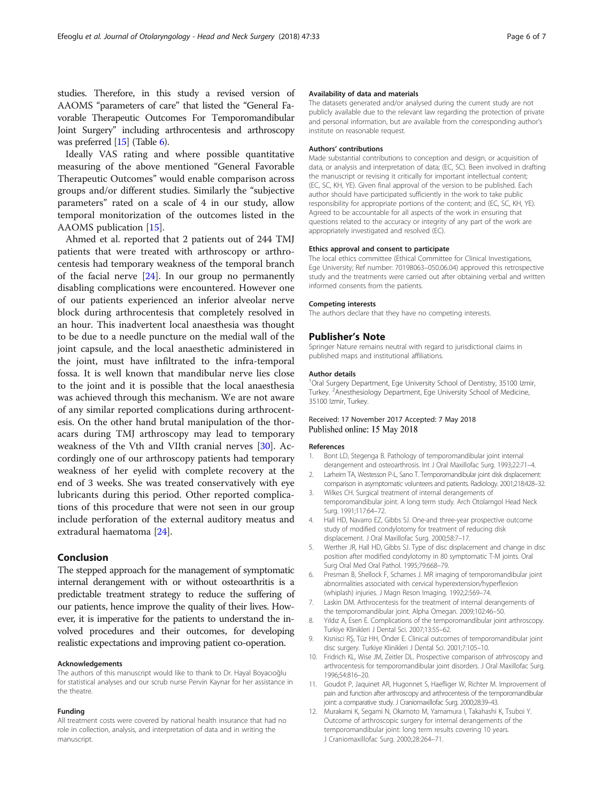<span id="page-5-0"></span>studies. Therefore, in this study a revised version of AAOMS "parameters of care" that listed the "General Favorable Therapeutic Outcomes For Temporomandibular Joint Surgery" including arthrocentesis and arthroscopy was preferred [\[15\]](#page-6-0) (Table [6\)](#page-3-0).

Ideally VAS rating and where possible quantitative measuring of the above mentioned "General Favorable Therapeutic Outcomes" would enable comparison across groups and/or different studies. Similarly the "subjective parameters" rated on a scale of 4 in our study, allow temporal monitorization of the outcomes listed in the AAOMS publication [\[15](#page-6-0)].

Ahmed et al. reported that 2 patients out of 244 TMJ patients that were treated with arthroscopy or arthrocentesis had temporary weakness of the temporal branch of the facial nerve [\[24](#page-6-0)]. In our group no permanently disabling complications were encountered. However one of our patients experienced an inferior alveolar nerve block during arthrocentesis that completely resolved in an hour. This inadvertent local anaesthesia was thought to be due to a needle puncture on the medial wall of the joint capsule, and the local anaesthetic administered in the joint, must have infiltrated to the infra-temporal fossa. It is well known that mandibular nerve lies close to the joint and it is possible that the local anaesthesia was achieved through this mechanism. We are not aware of any similar reported complications during arthrocentesis. On the other hand brutal manipulation of the thoracars during TMJ arthroscopy may lead to temporary weakness of the Vth and VIIth cranial nerves [[30](#page-6-0)]. Accordingly one of our arthroscopy patients had temporary weakness of her eyelid with complete recovery at the end of 3 weeks. She was treated conservatively with eye lubricants during this period. Other reported complications of this procedure that were not seen in our group include perforation of the external auditory meatus and extradural haematoma [[24\]](#page-6-0).

# Conclusion

The stepped approach for the management of symptomatic internal derangement with or without osteoarthritis is a predictable treatment strategy to reduce the suffering of our patients, hence improve the quality of their lives. However, it is imperative for the patients to understand the involved procedures and their outcomes, for developing realistic expectations and improving patient co-operation.

#### Acknowledgements

The authors of this manuscript would like to thank to Dr. Hayal Boyacıoğlu for statistical analyses and our scrub nurse Pervin Kaynar for her assistance in the theatre.

#### Funding

All treatment costs were covered by national health insurance that had no role in collection, analysis, and interpretation of data and in writing the manuscript.

#### Availability of data and materials

The datasets generated and/or analysed during the current study are not publicly available due to the relevant law regarding the protection of private and personal information, but are available from the corresponding author's institute on reasonable request.

#### Authors' contributions

Made substantial contributions to conception and design, or acquisition of data, or analysis and interpretation of data; (EC, SC). Been involved in drafting the manuscript or revising it critically for important intellectual content; (EC, SC, KH, YE). Given final approval of the version to be published. Each author should have participated sufficiently in the work to take public responsibility for appropriate portions of the content; and (EC, SC, KH, YE). Agreed to be accountable for all aspects of the work in ensuring that questions related to the accuracy or integrity of any part of the work are appropriately investigated and resolved (EC).

## Ethics approval and consent to participate

The local ethics committee (Ethical Committee for Clinical Investigations, Ege University; Ref number: 70198063–050.06.04) approved this retrospective study and the treatments were carried out after obtaining verbal and written informed consents from the patients.

#### Competing interests

The authors declare that they have no competing interests.

#### Publisher's Note

Springer Nature remains neutral with regard to jurisdictional claims in published maps and institutional affiliations.

#### Author details

<sup>1</sup>Oral Surgery Department, Ege University School of Dentistry, 35100 Izmir, Turkey. <sup>2</sup> Anesthesiology Department, Ege University School of Medicine 35100 Izmir, Turkey.

## Received: 17 November 2017 Accepted: 7 May 2018 Published online: 15 May 2018

#### References

- 1. Bont LD, Stegenga B. Pathology of temporomandibular joint internal derangement and osteoarthrosis. Int J Oral Maxillofac Surg. 1993;22:71–4.
- 2. Larheim TA, Westesson P-L, Sano T. Temporomandibular joint disk displacement: comparison in asymptomatic volunteers and patients. Radiology. 2001;218:428–32.
- 3. Wilkes CH. Surgical treatment of internal derangements of temporomandibular joint. A long term study. Arch Otolarngol Head Neck Surg. 1991;117:64–72.
- 4. Hall HD, Navarro EZ, Gibbs SJ. One-and three-year prospective outcome study of modified condylotomy for treatment of reducing disk displacement. J Oral Maxillofac Surg. 2000;58:7–17.
- 5. Werther JR, Hall HD, Gibbs SJ. Type of disc displacement and change in disc position after modified condylotomy in 80 symptomatic T-M joints. Oral Surg Oral Med Oral Pathol. 1995;79:668–79.
- 6. Presman B, Shellock F, Schames J. MR imaging of temporomandibular joint abnormalities associated with cervical hyperextension/hyperflexion (whiplash) injuries. J Magn Reson Imaging. 1992;2:569–74.
- 7. Laskin DM. Arthrocentesis for the treatment of internal derangements of the temporomandibular joint. Alpha Omegan. 2009;102:46–50.
- 8. Yıldız A, Esen E. Complications of the temporomandibular joint arthroscopy. Turkiye Klinikleri J Dental Sci. 2007;13:55–62.
- 9. Kisnisci RŞ, Tüz HH, Önder E. Clinical outcomes of temporomandibular joint disc surgery. Turkiye Klinikleri J Dental Sci. 2001;7:105–10.
- 10. Fridrich KL, Wise JM, Zeitler DL. Prospective comparison of atrhroscopy and arthrocentesis for temporomandibular joint disorders. J Oral Maxillofac Surg. 1996;54:816–20.
- 11. Goudot P, Jaquinet AR, Hugonnet S, Haefliger W, Richter M. Improvement of pain and function after arthroscopy and arthrocentesis of the temporomandibular joint: a comparative study. J Craniomaxillofac Surg. 2000;28:39–43.
- 12. Murakami K, Segami N, Okamoto M, Yamamura I, Takahashi K, Tsuboi Y. Outcome of arthroscopic surgery for internal derangements of the temporomandibular joint: long term results covering 10 years. J Craniomaxillofac Surg. 2000;28:264–71.